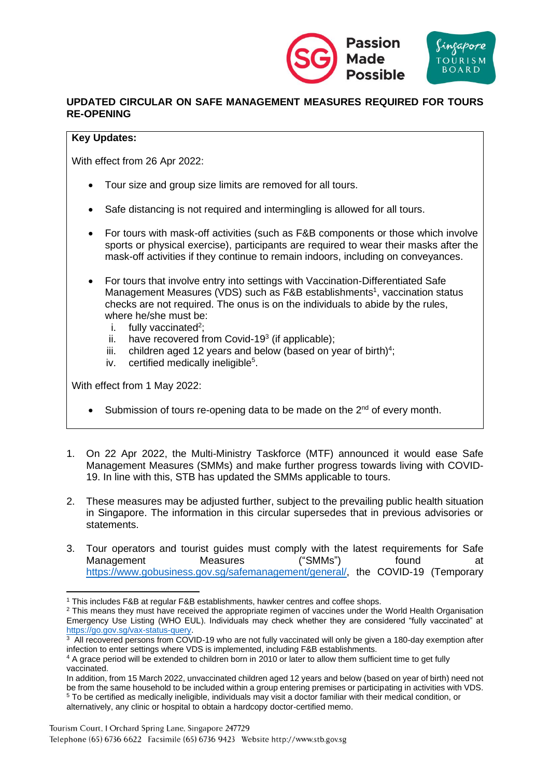

## **UPDATED CIRCULAR ON SAFE MANAGEMENT MEASURES REQUIRED FOR TOURS RE-OPENING**

## **Key Updates:**

With effect from 26 Apr 2022:

- Tour size and group size limits are removed for all tours.
- Safe distancing is not required and intermingling is allowed for all tours.
- For tours with mask-off activities (such as F&B components or those which involve sports or physical exercise), participants are required to wear their masks after the mask-off activities if they continue to remain indoors, including on conveyances.
- For tours that involve entry into settings with Vaccination-Differentiated Safe Management Measures (VDS) such as F&B establishments<sup>1</sup>, vaccination status checks are not required. The onus is on the individuals to abide by the rules, where he/she must be:
	- i. fully vaccinated<sup>2</sup>;
	- ii. have recovered from Covid-19 $3$  (if applicable);
	- iii. children aged 12 years and below (based on year of birth) $4$ ;
	- iv. certified medically ineligible<sup>5</sup>.

With effect from 1 May 2022:

- Submission of tours re-opening data to be made on the 2<sup>nd</sup> of every month.
- 1. On 22 Apr 2022, the Multi-Ministry Taskforce (MTF) announced it would ease Safe Management Measures (SMMs) and make further progress towards living with COVID-19. In line with this, STB has updated the SMMs applicable to tours.
- 2. These measures may be adjusted further, subject to the prevailing public health situation in Singapore. The information in this circular supersedes that in previous advisories or statements.
- 3. Tour operators and tourist guides must comply with the latest requirements for Safe Management Measures ("SMMs") found at [https://www.gobusiness.gov.sg/safemanagement/general/,](https://www.gobusiness.gov.sg/safemanagement/general/) the COVID-19 (Temporary

<sup>1</sup> This includes F&B at regular F&B establishments, hawker centres and coffee shops.

<sup>&</sup>lt;sup>2</sup> This means they must have received the appropriate regimen of vaccines under the World Health Organisation Emergency Use Listing (WHO EUL). Individuals may check whether they are considered "fully vaccinated" at [https://go.gov.sg/vax-status-query.](https://go.gov.sg/vax-status-query)

<sup>&</sup>lt;sup>3</sup> All recovered persons from COVID-19 who are not fully vaccinated will only be given a 180-day exemption after infection to enter settings where VDS is implemented, including F&B establishments.

<sup>4</sup> A grace period will be extended to children born in 2010 or later to allow them sufficient time to get fully vaccinated.

In addition, from 15 March 2022, unvaccinated children aged 12 years and below (based on year of birth) need not be from the same household to be included within a group entering premises or participating in activities with VDS. <sup>5</sup> To be certified as medically ineligible, individuals may visit a doctor familiar with their medical condition, or alternatively, any clinic or hospital to obtain a hardcopy doctor-certified memo.